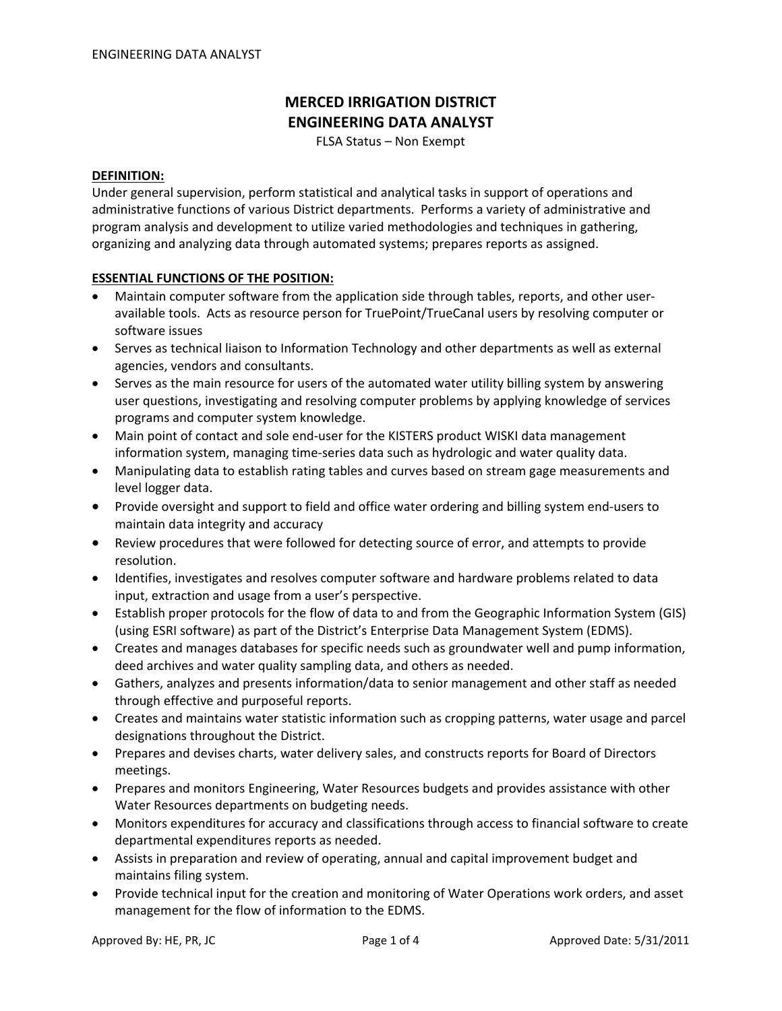# **MERCED IRRIGATION DISTRICT ENGINEERING DATA ANALYST**

FLSA Status – Non Exempt

#### **DEFINITION:**

Under general supervision, perform statistical and analytical tasks in support of operations and administrative functions of various District departments. Performs a variety of administrative and program analysis and development to utilize varied methodologies and techniques in gathering, organizing and analyzing data through automated systems; prepares reports as assigned.

#### **ESSENTIAL FUNCTIONS OF THE POSITION:**

- Maintain computer software from the application side through tables, reports, and other user‐ available tools. Acts as resource person for TruePoint/TrueCanal users by resolving computer or software issues
- Serves as technical liaison to Information Technology and other departments as well as external agencies, vendors and consultants.
- Serves as the main resource for users of the automated water utility billing system by answering user questions, investigating and resolving computer problems by applying knowledge of services programs and computer system knowledge.
- Main point of contact and sole end-user for the KISTERS product WISKI data management information system, managing time‐series data such as hydrologic and water quality data.
- Manipulating data to establish rating tables and curves based on stream gage measurements and level logger data.
- Provide oversight and support to field and office water ordering and billing system end‐users to maintain data integrity and accuracy
- Review procedures that were followed for detecting source of error, and attempts to provide resolution.
- Identifies, investigates and resolves computer software and hardware problems related to data input, extraction and usage from a user's perspective.
- Establish proper protocols for the flow of data to and from the Geographic Information System (GIS) (using ESRI software) as part of the District's Enterprise Data Management System (EDMS).
- Creates and manages databases for specific needs such as groundwater well and pump information, deed archives and water quality sampling data, and others as needed.
- Gathers, analyzes and presents information/data to senior management and other staff as needed through effective and purposeful reports.
- Creates and maintains water statistic information such as cropping patterns, water usage and parcel designations throughout the District.
- Prepares and devises charts, water delivery sales, and constructs reports for Board of Directors meetings.
- Prepares and monitors Engineering, Water Resources budgets and provides assistance with other Water Resources departments on budgeting needs.
- Monitors expenditures for accuracy and classifications through access to financial software to create departmental expenditures reports as needed.
- Assists in preparation and review of operating, annual and capital improvement budget and maintains filing system.
- Provide technical input for the creation and monitoring of Water Operations work orders, and asset management for the flow of information to the EDMS.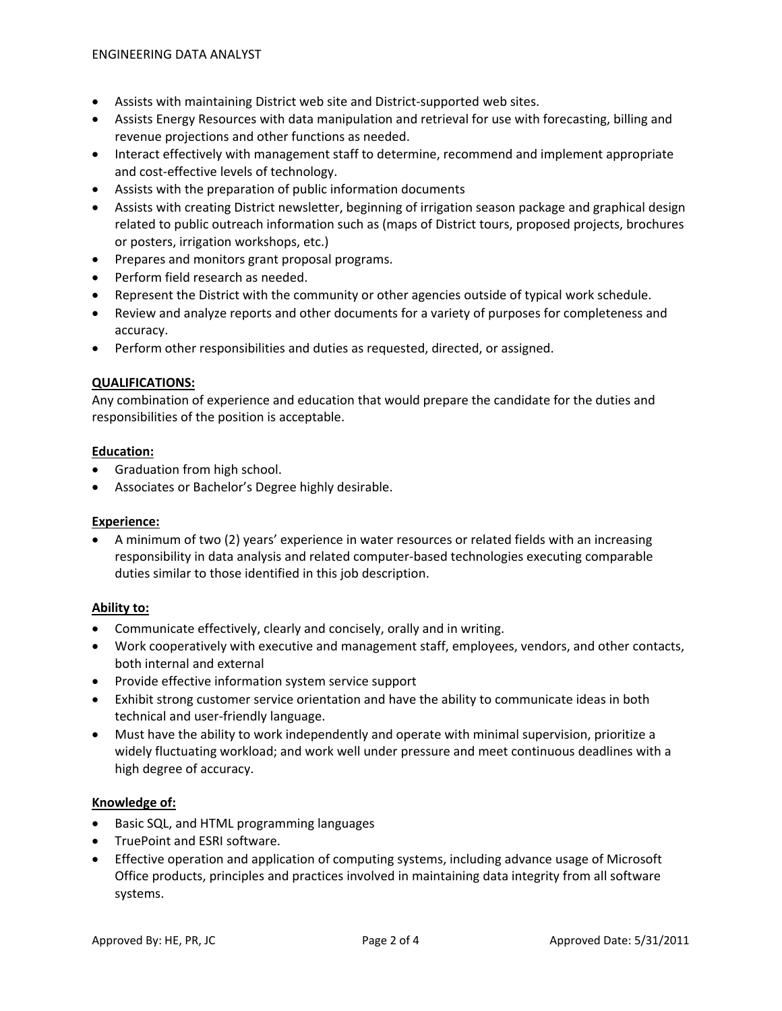- Assists with maintaining District web site and District‐supported web sites.
- Assists Energy Resources with data manipulation and retrieval for use with forecasting, billing and revenue projections and other functions as needed.
- Interact effectively with management staff to determine, recommend and implement appropriate and cost‐effective levels of technology.
- Assists with the preparation of public information documents
- Assists with creating District newsletter, beginning of irrigation season package and graphical design related to public outreach information such as (maps of District tours, proposed projects, brochures or posters, irrigation workshops, etc.)
- Prepares and monitors grant proposal programs.
- Perform field research as needed.
- Represent the District with the community or other agencies outside of typical work schedule.
- Review and analyze reports and other documents for a variety of purposes for completeness and accuracy.
- Perform other responsibilities and duties as requested, directed, or assigned.

#### **QUALIFICATIONS:**

Any combination of experience and education that would prepare the candidate for the duties and responsibilities of the position is acceptable.

#### **Education:**

- Graduation from high school.
- Associates or Bachelor's Degree highly desirable.

# **Experience:**

• A minimum of two (2) years' experience in water resources or related fields with an increasing responsibility in data analysis and related computer‐based technologies executing comparable duties similar to those identified in this job description.

# **Ability to:**

- Communicate effectively, clearly and concisely, orally and in writing.
- Work cooperatively with executive and management staff, employees, vendors, and other contacts, both internal and external
- Provide effective information system service support
- Exhibit strong customer service orientation and have the ability to communicate ideas in both technical and user‐friendly language.
- Must have the ability to work independently and operate with minimal supervision, prioritize a widely fluctuating workload; and work well under pressure and meet continuous deadlines with a high degree of accuracy.

# **Knowledge of:**

- Basic SQL, and HTML programming languages
- TruePoint and ESRI software.
- Effective operation and application of computing systems, including advance usage of Microsoft Office products, principles and practices involved in maintaining data integrity from all software systems.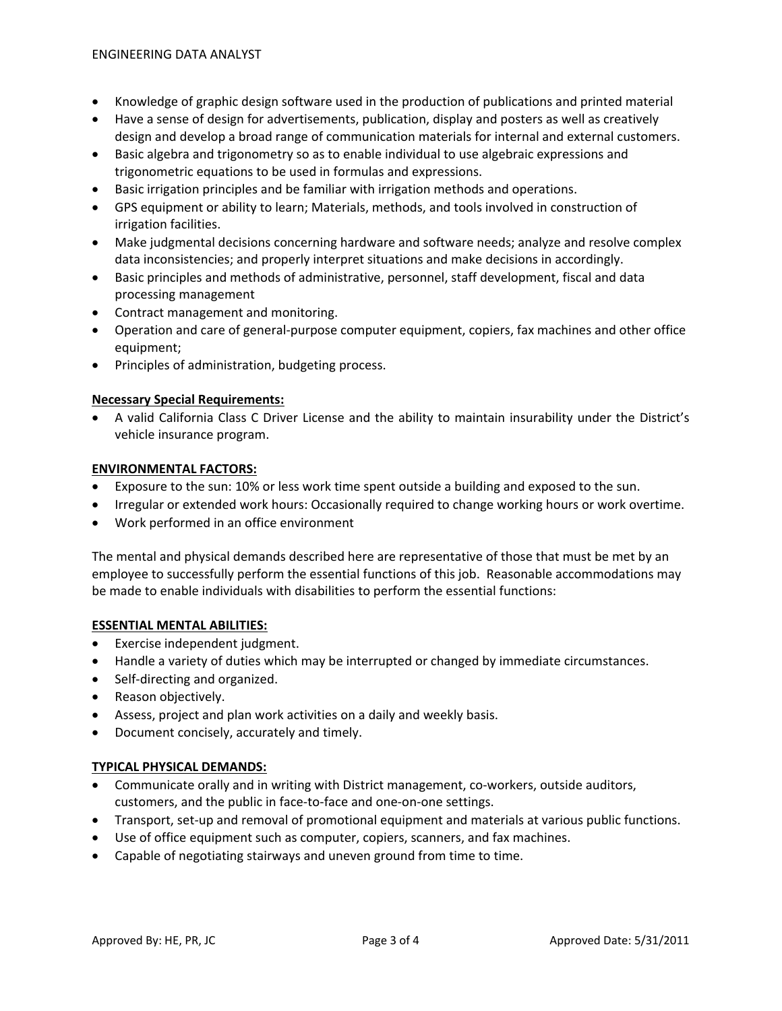- Knowledge of graphic design software used in the production of publications and printed material
- Have a sense of design for advertisements, publication, display and posters as well as creatively design and develop a broad range of communication materials for internal and external customers.
- Basic algebra and trigonometry so as to enable individual to use algebraic expressions and trigonometric equations to be used in formulas and expressions.
- Basic irrigation principles and be familiar with irrigation methods and operations.
- GPS equipment or ability to learn; Materials, methods, and tools involved in construction of irrigation facilities.
- Make judgmental decisions concerning hardware and software needs; analyze and resolve complex data inconsistencies; and properly interpret situations and make decisions in accordingly.
- Basic principles and methods of administrative, personnel, staff development, fiscal and data processing management
- Contract management and monitoring.
- Operation and care of general-purpose computer equipment, copiers, fax machines and other office equipment;
- Principles of administration, budgeting process.

# **Necessary Special Requirements:**

• A valid California Class C Driver License and the ability to maintain insurability under the District's vehicle insurance program.

# **ENVIRONMENTAL FACTORS:**

- Exposure to the sun: 10% or less work time spent outside a building and exposed to the sun.
- Irregular or extended work hours: Occasionally required to change working hours or work overtime.
- Work performed in an office environment

The mental and physical demands described here are representative of those that must be met by an employee to successfully perform the essential functions of this job. Reasonable accommodations may be made to enable individuals with disabilities to perform the essential functions:

# **ESSENTIAL MENTAL ABILITIES:**

- Exercise independent judgment.
- Handle a variety of duties which may be interrupted or changed by immediate circumstances.
- Self‐directing and organized.
- Reason objectively.
- Assess, project and plan work activities on a daily and weekly basis.
- Document concisely, accurately and timely.

# **TYPICAL PHYSICAL DEMANDS:**

- Communicate orally and in writing with District management, co-workers, outside auditors, customers, and the public in face‐to‐face and one‐on‐one settings.
- Transport, set-up and removal of promotional equipment and materials at various public functions.
- Use of office equipment such as computer, copiers, scanners, and fax machines.
- Capable of negotiating stairways and uneven ground from time to time.